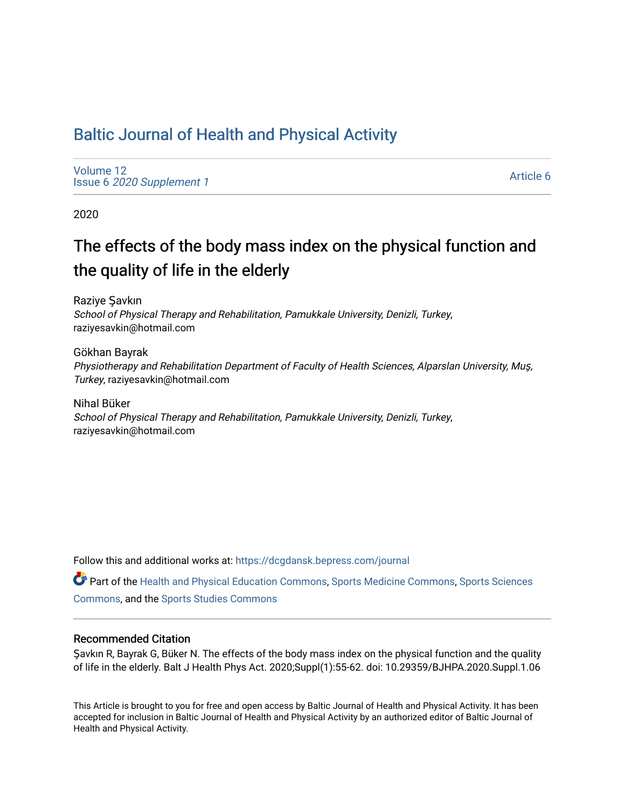# [Baltic Journal of Health and Physical Activity](https://dcgdansk.bepress.com/journal)

[Volume 12](https://dcgdansk.bepress.com/journal/vol12) Issue 6 [2020 Supplement 1](https://dcgdansk.bepress.com/journal/vol12/iss6) 

[Article 6](https://dcgdansk.bepress.com/journal/vol12/iss6/6) 

2020

# The effects of the body mass index on the physical function and the quality of life in the elderly

Raziye Şavkın School of Physical Therapy and Rehabilitation, Pamukkale University, Denizli, Turkey, raziyesavkin@hotmail.com

Gökhan Bayrak Physiotherapy and Rehabilitation Department of Faculty of Health Sciences, Alparslan University, Muş, Turkey, raziyesavkin@hotmail.com

Nihal Büker School of Physical Therapy and Rehabilitation, Pamukkale University, Denizli, Turkey, raziyesavkin@hotmail.com

Follow this and additional works at: [https://dcgdansk.bepress.com/journal](https://dcgdansk.bepress.com/journal?utm_source=dcgdansk.bepress.com%2Fjournal%2Fvol12%2Fiss6%2F6&utm_medium=PDF&utm_campaign=PDFCoverPages)

Part of the [Health and Physical Education Commons](http://network.bepress.com/hgg/discipline/1327?utm_source=dcgdansk.bepress.com%2Fjournal%2Fvol12%2Fiss6%2F6&utm_medium=PDF&utm_campaign=PDFCoverPages), [Sports Medicine Commons,](http://network.bepress.com/hgg/discipline/1331?utm_source=dcgdansk.bepress.com%2Fjournal%2Fvol12%2Fiss6%2F6&utm_medium=PDF&utm_campaign=PDFCoverPages) [Sports Sciences](http://network.bepress.com/hgg/discipline/759?utm_source=dcgdansk.bepress.com%2Fjournal%2Fvol12%2Fiss6%2F6&utm_medium=PDF&utm_campaign=PDFCoverPages) [Commons](http://network.bepress.com/hgg/discipline/759?utm_source=dcgdansk.bepress.com%2Fjournal%2Fvol12%2Fiss6%2F6&utm_medium=PDF&utm_campaign=PDFCoverPages), and the [Sports Studies Commons](http://network.bepress.com/hgg/discipline/1198?utm_source=dcgdansk.bepress.com%2Fjournal%2Fvol12%2Fiss6%2F6&utm_medium=PDF&utm_campaign=PDFCoverPages) 

### Recommended Citation

Şavkın R, Bayrak G, Büker N. The effects of the body mass index on the physical function and the quality of life in the elderly. Balt J Health Phys Act. 2020;Suppl(1):55-62. doi: 10.29359/BJHPA.2020.Suppl.1.06

This Article is brought to you for free and open access by Baltic Journal of Health and Physical Activity. It has been accepted for inclusion in Baltic Journal of Health and Physical Activity by an authorized editor of Baltic Journal of Health and Physical Activity.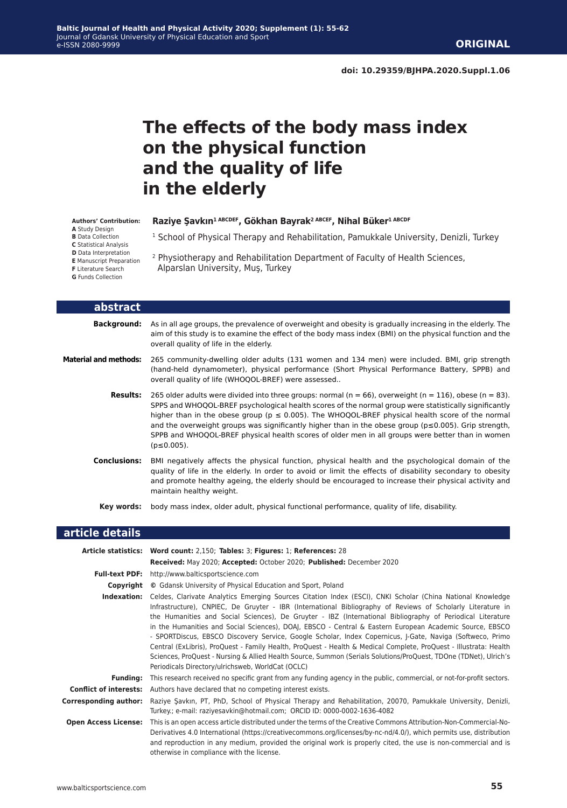# **The effects of the body mass index on the physical function and the quality of life in the elderly**

<sup>1</sup> School of Physical Therapy and Rehabilitation, Pamukkale University, Denizli, Turkey

2 Physiotherapy and Rehabilitation Department of Faculty of Health Sciences,

**Raziye Şavkın1 ABCDEF, Gökhan Bayrak2 ABCEF, Nihal Büker1 ABCDF**

Alparslan University, Muş, Turkey

#### **Authors' Contribution:**

**A** Study Design

**B** Data Collection

- **C** Statistical Analysis
- **D** Data Interpretation
- **E** Manuscript Preparation

**F** Literature Search

|  |  |  | <b>G</b> Funds Collection |
|--|--|--|---------------------------|
|--|--|--|---------------------------|

**article details abstract Background:** As in all age groups, the prevalence of overweight and obesity is gradually increasing in the elderly. The aim of this study is to examine the effect of the body mass index (BMI) on the physical function and the overall quality of life in the elderly. **Material and methods:** 265 community-dwelling older adults (131 women and 134 men) were included. BMI, grip strength (hand-held dynamometer), physical performance (Short Physical Performance Battery, SPPB) and overall quality of life (WHOQOL-BREF) were assessed.. **Results:** 265 older adults were divided into three groups: normal ( $n = 66$ ), overweight ( $n = 116$ ), obese ( $n = 83$ ). SPPS and WHOQOL-BREF psychological health scores of the normal group were statistically significantly higher than in the obese group ( $p \le 0.005$ ). The WHOQOL-BREF physical health score of the normal and the overweight groups was significantly higher than in the obese group (p≤0.005). Grip strength, SPPB and WHOQOL-BREF physical health scores of older men in all groups were better than in women (p≤0.005). **Conclusions:** BMI negatively affects the physical function, physical health and the psychological domain of the quality of life in the elderly. In order to avoid or limit the effects of disability secondary to obesity and promote healthy ageing, the elderly should be encouraged to increase their physical activity and maintain healthy weight. **Key words:** body mass index, older adult, physical functional performance, quality of life, disability.

|                             | Article statistics: Word count: 2,150; Tables: 3; Figures: 1; References: 28                                                                                                                                                                                                                                                                                                                                                                                                                                                                                                                                                                                                                                                                                                                                                                                  |
|-----------------------------|---------------------------------------------------------------------------------------------------------------------------------------------------------------------------------------------------------------------------------------------------------------------------------------------------------------------------------------------------------------------------------------------------------------------------------------------------------------------------------------------------------------------------------------------------------------------------------------------------------------------------------------------------------------------------------------------------------------------------------------------------------------------------------------------------------------------------------------------------------------|
|                             | Received: May 2020; Accepted: October 2020; Published: December 2020                                                                                                                                                                                                                                                                                                                                                                                                                                                                                                                                                                                                                                                                                                                                                                                          |
| <b>Full-text PDF:</b>       | http://www.balticsportscience.com                                                                                                                                                                                                                                                                                                                                                                                                                                                                                                                                                                                                                                                                                                                                                                                                                             |
|                             | <b>Copyright</b> © Gdansk University of Physical Education and Sport, Poland                                                                                                                                                                                                                                                                                                                                                                                                                                                                                                                                                                                                                                                                                                                                                                                  |
| Indexation:                 | Celdes, Clarivate Analytics Emerging Sources Citation Index (ESCI), CNKI Scholar (China National Knowledge<br>Infrastructure), CNPIEC, De Gruyter - IBR (International Bibliography of Reviews of Scholarly Literature in<br>the Humanities and Social Sciences), De Gruyter - IBZ (International Bibliography of Periodical Literature<br>in the Humanities and Social Sciences), DOAJ, EBSCO - Central & Eastern European Academic Source, EBSCO<br>- SPORTDiscus, EBSCO Discovery Service, Google Scholar, Index Copernicus, J-Gate, Naviga (Softweco, Primo<br>Central (ExLibris), ProQuest - Family Health, ProQuest - Health & Medical Complete, ProQuest - Illustrata: Health<br>Sciences, ProQuest - Nursing & Allied Health Source, Summon (Serials Solutions/ProQuest, TDOne (TDNet), Ulrich's<br>Periodicals Directory/ulrichsweb, WorldCat (OCLC) |
| <b>Funding:</b>             | This research received no specific grant from any funding agency in the public, commercial, or not-for-profit sectors.                                                                                                                                                                                                                                                                                                                                                                                                                                                                                                                                                                                                                                                                                                                                        |
|                             | <b>Conflict of interests:</b> Authors have declared that no competing interest exists.                                                                                                                                                                                                                                                                                                                                                                                                                                                                                                                                                                                                                                                                                                                                                                        |
| Corresponding author:       | Raziye Savkın, PT, PhD, School of Physical Therapy and Rehabilitation, 20070, Pamukkale University, Denizli,<br>Turkey.; e-mail: raziyesavkin@hotmail.com; ORCID ID: 0000-0002-1636-4082                                                                                                                                                                                                                                                                                                                                                                                                                                                                                                                                                                                                                                                                      |
| <b>Open Access License:</b> | This is an open access article distributed under the terms of the Creative Commons Attribution-Non-Commercial-No-<br>Derivatives 4.0 International (https://creativecommons.org/licenses/by-nc-nd/4.0/), which permits use, distribution<br>and reproduction in any medium, provided the original work is properly cited, the use is non-commercial and is<br>otherwise in compliance with the license.                                                                                                                                                                                                                                                                                                                                                                                                                                                       |
|                             |                                                                                                                                                                                                                                                                                                                                                                                                                                                                                                                                                                                                                                                                                                                                                                                                                                                               |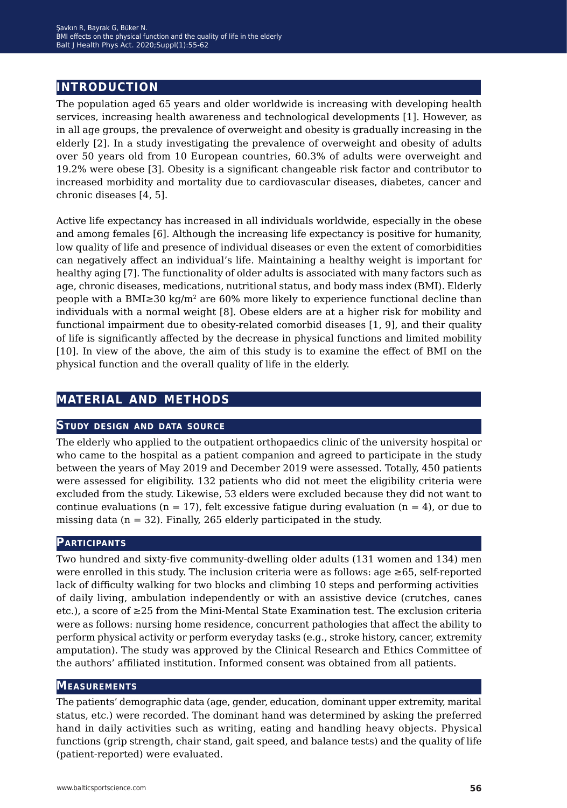## **introduction**

The population aged 65 years and older worldwide is increasing with developing health services, increasing health awareness and technological developments [1]. However, as in all age groups, the prevalence of overweight and obesity is gradually increasing in the elderly [2]. In a study investigating the prevalence of overweight and obesity of adults over 50 years old from 10 European countries, 60.3% of adults were overweight and 19.2% were obese [3]. Obesity is a significant changeable risk factor and contributor to increased morbidity and mortality due to cardiovascular diseases, diabetes, cancer and chronic diseases [4, 5].

Active life expectancy has increased in all individuals worldwide, especially in the obese and among females [6]. Although the increasing life expectancy is positive for humanity, low quality of life and presence of individual diseases or even the extent of comorbidities can negatively affect an individual's life. Maintaining a healthy weight is important for healthy aging [7]. The functionality of older adults is associated with many factors such as age, chronic diseases, medications, nutritional status, and body mass index (BMI). Elderly people with a BMI≥30 kg/m<sup>2</sup> are 60% more likely to experience functional decline than individuals with a normal weight [8]. Obese elders are at a higher risk for mobility and functional impairment due to obesity-related comorbid diseases [1, 9], and their quality of life is significantly affected by the decrease in physical functions and limited mobility [10]. In view of the above, the aim of this study is to examine the effect of BMI on the physical function and the overall quality of life in the elderly.

## **material and methods**

### **Study design and data source**

The elderly who applied to the outpatient orthopaedics clinic of the university hospital or who came to the hospital as a patient companion and agreed to participate in the study between the years of May 2019 and December 2019 were assessed. Totally, 450 patients were assessed for eligibility. 132 patients who did not meet the eligibility criteria were excluded from the study. Likewise, 53 elders were excluded because they did not want to continue evaluations ( $n = 17$ ), felt excessive fatigue during evaluation ( $n = 4$ ), or due to missing data  $(n = 32)$ . Finally, 265 elderly participated in the study.

#### **Participants**

Two hundred and sixty-five community-dwelling older adults (131 women and 134) men were enrolled in this study. The inclusion criteria were as follows: age ≥65, self-reported lack of difficulty walking for two blocks and climbing 10 steps and performing activities of daily living, ambulation independently or with an assistive device (crutches, canes etc.), a score of ≥25 from the Mini-Mental State Examination test. The exclusion criteria were as follows: nursing home residence, concurrent pathologies that affect the ability to perform physical activity or perform everyday tasks (e.g., stroke history, cancer, extremity amputation). The study was approved by the Clinical Research and Ethics Committee of the authors' affiliated institution. Informed consent was obtained from all patients.

#### **Measurements**

The patients' demographic data (age, gender, education, dominant upper extremity, marital status, etc.) were recorded. The dominant hand was determined by asking the preferred hand in daily activities such as writing, eating and handling heavy objects. Physical functions (grip strength, chair stand, gait speed, and balance tests) and the quality of life (patient-reported) were evaluated.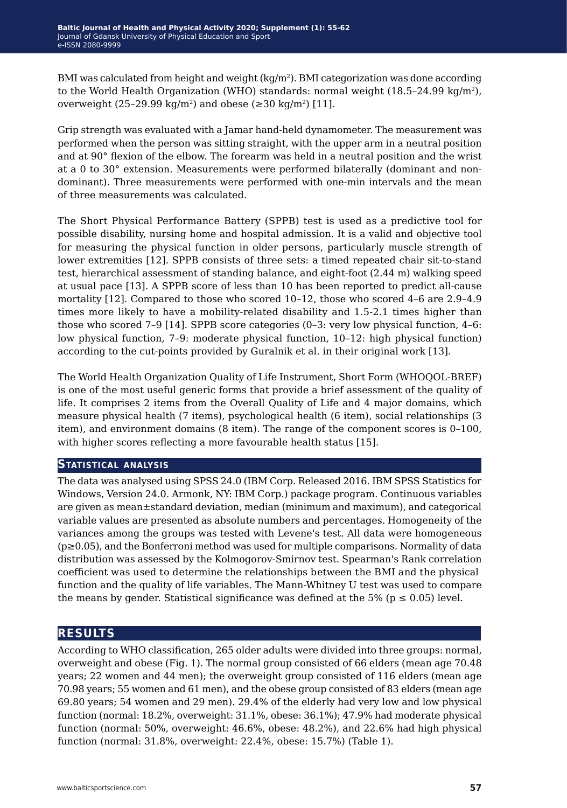BMI was calculated from height and weight  $(kg/m<sup>2</sup>)$ . BMI categorization was done according to the World Health Organization (WHO) standards: normal weight  $(18.5-24.99 \text{ kg/m}^2)$ , overweight (25–29.99 kg/m<sup>2</sup>) and obese ( $\geq$ 30 kg/m<sup>2</sup>) [11].

Grip strength was evaluated with a Jamar hand-held dynamometer. The measurement was performed when the person was sitting straight, with the upper arm in a neutral position and at 90° flexion of the elbow. The forearm was held in a neutral position and the wrist at a 0 to 30° extension. Measurements were performed bilaterally (dominant and nondominant). Three measurements were performed with one-min intervals and the mean of three measurements was calculated.

The Short Physical Performance Battery (SPPB) test is used as a predictive tool for possible disability, nursing home and hospital admission. It is a valid and objective tool for measuring the physical function in older persons, particularly muscle strength of lower extremities [12]. SPPB consists of three sets: a timed repeated chair sit-to-stand test, hierarchical assessment of standing balance, and eight-foot (2.44 m) walking speed at usual pace [13]. A SPPB score of less than 10 has been reported to predict all-cause mortality [12]. Compared to those who scored 10–12, those who scored 4–6 are 2.9–4.9 times more likely to have a mobility-related disability and 1.5-2.1 times higher than those who scored 7–9 [14]. SPPB score categories (0–3: very low physical function, 4–6: low physical function, 7–9: moderate physical function, 10–12: high physical function) according to the cut-points provided by Guralnik et al. in their original work [13].

The World Health Organization Quality of Life Instrument, Short Form (WHOQOL-BREF) is one of the most useful generic forms that provide a brief assessment of the quality of life. It comprises 2 items from the Overall Quality of Life and 4 major domains, which measure physical health (7 items), psychological health (6 item), social relationships (3 item), and environment domains (8 item). The range of the component scores is 0–100, with higher scores reflecting a more favourable health status [15].

#### **Statistical analysis**

The data was analysed using SPSS 24.0 (IBM Corp. Released 2016. IBM SPSS Statistics for Windows, Version 24.0. Armonk, NY: IBM Corp.) package program. Continuous variables are given as mean±standard deviation, median (minimum and maximum), and categorical variable values are presented as absolute numbers and percentages. Homogeneity of the variances among the groups was tested with Levene's test. All data were homogeneous (p≥0.05), and the Bonferroni method was used for multiple comparisons. Normality of data distribution was assessed by the Kolmogorov-Smirnov test. Spearman's Rank correlation coefficient was used to determine the relationships between the BMI and the physical function and the quality of life variables. The Mann-Whitney U test was used to compare the means by gender. Statistical significance was defined at the 5% ( $p \le 0.05$ ) level.

## **results**

According to WHO classification, 265 older adults were divided into three groups: normal, overweight and obese (Fig. 1). The normal group consisted of 66 elders (mean age 70.48 years; 22 women and 44 men); the overweight group consisted of 116 elders (mean age 70.98 years; 55 women and 61 men), and the obese group consisted of 83 elders (mean age 69.80 years; 54 women and 29 men). 29.4% of the elderly had very low and low physical function (normal: 18.2%, overweight: 31.1%, obese: 36.1%); 47.9% had moderate physical function (normal: 50%, overweight: 46.6%, obese: 48.2%), and 22.6% had high physical function (normal: 31.8%, overweight: 22.4%, obese: 15.7%) (Table 1).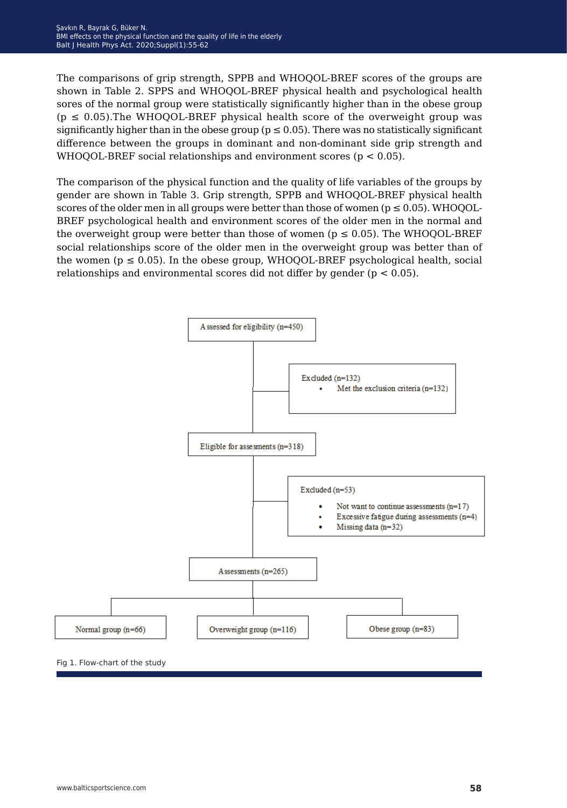The comparisons of grip strength, SPPB and WHOQOL-BREF scores of the groups are shown in Table 2. SPPS and WHOQOL-BREF physical health and psychological health sores of the normal group were statistically significantly higher than in the obese group  $(p \le 0.05)$ . The WHOQOL-BREF physical health score of the overweight group was significantly higher than in the obese group ( $p \le 0.05$ ). There was no statistically significant difference between the groups in dominant and non-dominant side grip strength and WHOQOL-BREF social relationships and environment scores ( $p < 0.05$ ).

The comparison of the physical function and the quality of life variables of the groups by gender are shown in Table 3. Grip strength, SPPB and WHOQOL-BREF physical health scores of the older men in all groups were better than those of women ( $p \le 0.05$ ). WHOQOL-BREF psychological health and environment scores of the older men in the normal and the overweight group were better than those of women ( $p \le 0.05$ ). The WHOQOL-BREF social relationships score of the older men in the overweight group was better than of the women ( $p \le 0.05$ ). In the obese group, WHOQOL-BREF psychological health, social relationships and environmental scores did not differ by gender ( $p < 0.05$ ).

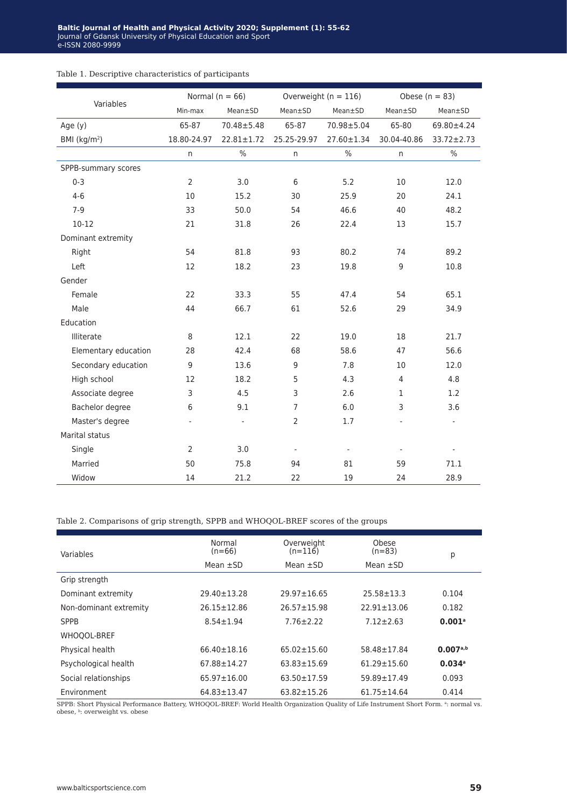|                            | Normal ( $n = 66$ ) |                          |                | Overweight ( $n = 116$ ) | Obese ( $n = 83$ ) |                          |  |
|----------------------------|---------------------|--------------------------|----------------|--------------------------|--------------------|--------------------------|--|
| Variables                  | Min-max             | Mean±SD                  | Mean±SD        | Mean±SD                  | Mean±SD            | Mean±SD                  |  |
| Age $(y)$                  | 65-87               | $70.48 \pm 5.48$         | 65-87          | 70.98±5.04               | 65-80              | 69.80±4.24               |  |
| $BMl$ (kg/m <sup>2</sup> ) | 18.80-24.97         | $22.81 \pm 1.72$         | 25.25-29.97    | 27.60±1.34               | 30.04-40.86        | 33.72±2.73               |  |
|                            | n                   | $\%$                     | n              | $\%$                     | n                  | $\%$                     |  |
| SPPB-summary scores        |                     |                          |                |                          |                    |                          |  |
| $0 - 3$                    | $\overline{2}$      | 3.0                      | 6              | 5.2                      | 10                 | 12.0                     |  |
| $4 - 6$                    | 10                  | 15.2                     | 30             | 25.9                     | 20                 | 24.1                     |  |
| $7-9$                      | 33                  | 50.0                     | 54             | 46.6                     | 40                 | 48.2                     |  |
| $10-12$<br>21              |                     | 31.8                     | 26             | 22.4                     | 13                 | 15.7                     |  |
| Dominant extremity         |                     |                          |                |                          |                    |                          |  |
| Right                      | 54                  | 81.8                     | 93             | 80.2                     | 74                 | 89.2                     |  |
| Left                       | 12                  | 18.2                     | 23             | 19.8                     | 9                  | 10.8                     |  |
| Gender                     |                     |                          |                |                          |                    |                          |  |
| Female                     | 22                  | 33.3                     | 55             | 47.4                     | 54                 | 65.1                     |  |
| Male                       | 44                  | 66.7                     | 61             | 52.6                     | 29                 | 34.9                     |  |
| Education                  |                     |                          |                |                          |                    |                          |  |
| Illiterate                 | 8                   | 12.1                     | 22             | 19.0                     | 18                 | 21.7                     |  |
| Elementary education       | 28                  | 42.4                     | 68             | 58.6                     | 47                 | 56.6                     |  |
| Secondary education        | 9                   | 13.6                     | 9              | 7.8                      | 10                 | 12.0                     |  |
| High school                | 12                  | 18.2                     | 5              | 4.3                      | $\overline{4}$     | 4.8                      |  |
| Associate degree           | 3                   | 4.5                      | 3              | 2.6                      | $\mathbf{1}$       | 1.2                      |  |
| Bachelor degree            | 6                   | 9.1                      | $\overline{7}$ | 6.0                      | 3                  | 3.6                      |  |
| Master's degree            |                     | $\overline{\phantom{a}}$ | $\overline{2}$ | 1.7                      |                    | $\overline{\phantom{a}}$ |  |
| Marital status             |                     |                          |                |                          |                    |                          |  |
| Single                     | $\overline{2}$      | 3.0                      |                | $\overline{\phantom{a}}$ |                    |                          |  |
| Married                    | 50                  | 75.8                     | 94             | 81                       | 59                 | 71.1                     |  |
| Widow                      | 14                  | 21.2                     | 22             | 19                       | 24                 | 28.9                     |  |

### Table 1. Descriptive characteristics of participants

Table 2. Comparisons of grip strength, SPPB and WHOQOL-BREF scores of the groups

| Variables              | Normal<br>$(n=66)$ | Overweight<br>$(n=116)$ | Obese<br>$(n=83)$           | р                    |
|------------------------|--------------------|-------------------------|-----------------------------|----------------------|
|                        | Mean $\pm$ SD      | Mean $\pm$ SD           | Mean $\pm$ SD               |                      |
| Grip strength          |                    |                         |                             |                      |
| Dominant extremity     | $29.40 \pm 13.28$  | $29.97 \pm 16.65$       | $25.58 \pm 13.3$            | 0.104                |
| Non-dominant extremity | $26.15 \pm 12.86$  | $26.57 \pm 15.98$       | $22.91 \pm 13.06$           | 0.182                |
| <b>SPPB</b>            | $8.54 \pm 1.94$    | $7.76 \pm 2.22$         | $7.12 \pm 2.63$             | $0.001$ <sup>a</sup> |
| WHOQOL-BREF            |                    |                         |                             |                      |
| Physical health        | $66.40 \pm 18.16$  | $65.02 \pm 15.60$       | 58.48±17.84                 | 0.007a,b             |
| Psychological health   | $67.88 \pm 14.27$  | $63.83 \pm 15.69$       | $61.29 \pm 15.60$           | $0.034$ <sup>a</sup> |
| Social relationships   | $65.97 \pm 16.00$  | $63.50 \pm 17.59$       | $59.89 \pm 17.49$           | 0.093                |
| Environment            | $64.83 \pm 13.47$  | $63.82 \pm 15.26$       | $61.75 \pm 14.64$           | 0.414                |
| $\sim$                 |                    |                         | $\sim$ $\sim$ $\sim$ $\sim$ |                      |

SPPB: Short Physical Performance Battery, WHOQOL-BREF: World Health Organization Quality of Life Instrument Short Form. <sup>a</sup>: normal vs. obese, b: overweight vs. obese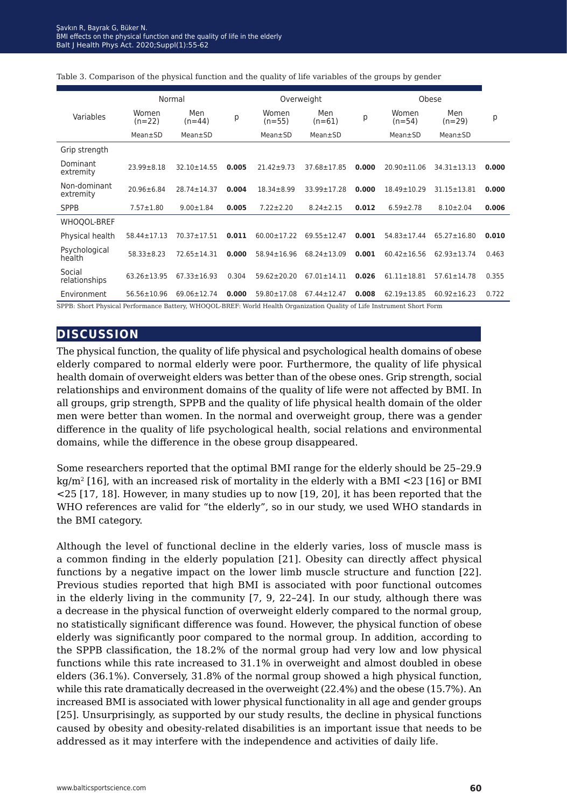|                           | Normal            |                   | Overweight |                   |                   | Obese |                   |                   |       |
|---------------------------|-------------------|-------------------|------------|-------------------|-------------------|-------|-------------------|-------------------|-------|
| Variables                 | Women<br>$(n=22)$ | Men<br>$(n=44)$   | р          | Women<br>$(n=55)$ | Men<br>$(n=61)$   | р     | Women<br>$(n=54)$ | Men<br>$(n=29)$   | p     |
|                           | Mean±SD           | Mean±SD           |            | Mean±SD           | Mean±SD           |       | Mean±SD           | Mean±SD           |       |
| Grip strength             |                   |                   |            |                   |                   |       |                   |                   |       |
| Dominant<br>extremity     | $23.99 \pm 8.18$  | 32.10±14.55       | 0.005      | $21.42 \pm 9.73$  | 37.68±17.85       | 0.000 | $20.90 \pm 11.06$ | $34.31 \pm 13.13$ | 0.000 |
| Non-dominant<br>extremity | 20.96±6.84        | 28.74±14.37       | 0.004      | $18.34 \pm 8.99$  | 33.99±17.28       | 0.000 | $18.49 \pm 10.29$ | $31.15 \pm 13.81$ | 0.000 |
| <b>SPPB</b>               | $7.57 \pm 1.80$   | $9.00 \pm 1.84$   | 0.005      | $7.22 \pm 2.20$   | $8.24 \pm 2.15$   | 0.012 | $6.59 \pm 2.78$   | $8.10 \pm 2.04$   | 0.006 |
| WHOQOL-BREF               |                   |                   |            |                   |                   |       |                   |                   |       |
| Physical health           | 58.44±17.13       | 70.37±17.51       | 0.011      | $60.00 \pm 17.22$ | $69.55 \pm 12.47$ | 0.001 | $54.83 \pm 17.44$ | $65.27 \pm 16.80$ | 0.010 |
| Psychological<br>health   | $58.33 \pm 8.23$  | $72.65 \pm 14.31$ | 0.000      | $58.94 \pm 16.96$ | $68.24 \pm 13.09$ | 0.001 | $60.42 \pm 16.56$ | $62.93 \pm 13.74$ | 0.463 |
| Social<br>relationships   | $63.26 \pm 13.95$ | $67.33 \pm 16.93$ | 0.304      | $59.62 \pm 20.20$ | $67.01 \pm 14.11$ | 0.026 | $61.11 \pm 18.81$ | $57.61 \pm 14.78$ | 0.355 |
| Environment               | $56.56 \pm 10.96$ | 69.06±12.74       | 0.000      | 59.80±17.08       | $67.44 \pm 12.47$ | 0.008 | $62.19 \pm 13.85$ | $60.92 \pm 16.23$ | 0.722 |

#### Table 3. Comparison of the physical function and the quality of life variables of the groups by gender

SPPB: Short Physical Performance Battery, WHOQOL-BREF: World Health Organization Quality of Life Instrument Short Form

## **discussion**

The physical function, the quality of life physical and psychological health domains of obese elderly compared to normal elderly were poor. Furthermore, the quality of life physical health domain of overweight elders was better than of the obese ones. Grip strength, social relationships and environment domains of the quality of life were not affected by BMI. In all groups, grip strength, SPPB and the quality of life physical health domain of the older men were better than women. In the normal and overweight group, there was a gender difference in the quality of life psychological health, social relations and environmental domains, while the difference in the obese group disappeared.

Some researchers reported that the optimal BMI range for the elderly should be 25–29.9  $kg/m^2$  [16], with an increased risk of mortality in the elderly with a BMI <23 [16] or BMI <25 [17, 18]. However, in many studies up to now [19, 20], it has been reported that the WHO references are valid for "the elderly", so in our study, we used WHO standards in the BMI category.

Although the level of functional decline in the elderly varies, loss of muscle mass is a common finding in the elderly population [21]. Obesity can directly affect physical functions by a negative impact on the lower limb muscle structure and function [22]. Previous studies reported that high BMI is associated with poor functional outcomes in the elderly living in the community [7, 9, 22*−*24]. In our study, although there was a decrease in the physical function of overweight elderly compared to the normal group, no statistically significant difference was found. However, the physical function of obese elderly was significantly poor compared to the normal group. In addition, according to the SPPB classification, the 18.2% of the normal group had very low and low physical functions while this rate increased to 31.1% in overweight and almost doubled in obese elders (36.1%). Conversely, 31.8% of the normal group showed a high physical function, while this rate dramatically decreased in the overweight (22.4%) and the obese (15.7%). An increased BMI is associated with lower physical functionality in all age and gender groups [25]. Unsurprisingly, as supported by our study results, the decline in physical functions caused by obesity and obesity-related disabilities is an important issue that needs to be addressed as it may interfere with the independence and activities of daily life.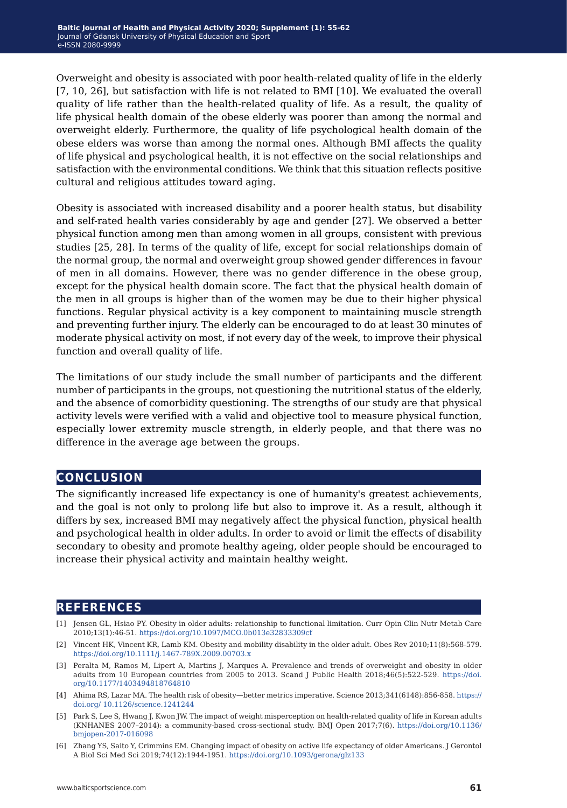Overweight and obesity is associated with poor health-related quality of life in the elderly [7, 10, 26], but satisfaction with life is not related to BMI [10]. We evaluated the overall quality of life rather than the health-related quality of life. As a result, the quality of life physical health domain of the obese elderly was poorer than among the normal and overweight elderly. Furthermore, the quality of life psychological health domain of the obese elders was worse than among the normal ones. Although BMI affects the quality of life physical and psychological health, it is not effective on the social relationships and satisfaction with the environmental conditions. We think that this situation reflects positive cultural and religious attitudes toward aging.

Obesity is associated with increased disability and a poorer health status, but disability and self-rated health varies considerably by age and gender [27]. We observed a better physical function among men than among women in all groups, consistent with previous studies [25, 28]. In terms of the quality of life, except for social relationships domain of the normal group, the normal and overweight group showed gender differences in favour of men in all domains. However, there was no gender difference in the obese group, except for the physical health domain score. The fact that the physical health domain of the men in all groups is higher than of the women may be due to their higher physical functions. Regular physical activity is a key component to maintaining muscle strength and preventing further injury. The elderly can be encouraged to do at least 30 minutes of moderate physical activity on most, if not every day of the week, to improve their physical function and overall quality of life.

The limitations of our study include the small number of participants and the different number of participants in the groups, not questioning the nutritional status of the elderly, and the absence of comorbidity questioning. The strengths of our study are that physical activity levels were verified with a valid and objective tool to measure physical function, especially lower extremity muscle strength, in elderly people, and that there was no difference in the average age between the groups.

## **conclusion**

The significantly increased life expectancy is one of humanity's greatest achievements, and the goal is not only to prolong life but also to improve it. As a result, although it differs by sex, increased BMI may negatively affect the physical function, physical health and psychological health in older adults. In order to avoid or limit the effects of disability secondary to obesity and promote healthy ageing, older people should be encouraged to increase their physical activity and maintain healthy weight.

## **references**

- [1] Jensen GL, Hsiao PY. Obesity in older adults: relationship to functional limitation. Curr Opin Clin Nutr Metab Care 2010;13(1):46-51.<https://doi.org/10.1097/MCO.0b013e32833309cf>
- [2] Vincent HK, Vincent KR, Lamb KM. Obesity and mobility disability in the older adult. Obes Rev 2010;11(8):568-579. <https://doi.org/10.1111/j.1467-789X.2009.00703.x>
- [3] Peralta M, Ramos M, Lipert A, Martins J, Marques A. Prevalence and trends of overweight and obesity in older adults from 10 European countries from 2005 to 2013. Scand J Public Health 2018;46(5):522-529. [https://doi.](https://doi.org/10.1177/1403494818764810 ) [org/10.1177/1403494818764810](https://doi.org/10.1177/1403494818764810 )
- [4] Ahima RS, Lazar MA. The health risk of obesity—better metrics imperative. Science 2013;341(6148):856-858. [https://](https://doi.org/ 10.1126/science.1241244 ) [doi.org/ 10.1126/science.1241244](https://doi.org/ 10.1126/science.1241244 )
- [5] Park S, Lee S, Hwang J, Kwon JW. The impact of weight misperception on health-related quality of life in Korean adults (KNHANES 2007–2014): a community-based cross-sectional study. BMJ Open 2017;7(6). [https://doi.org/10.1136/](https://doi.org/10.1136/ bmjopen-2017-016098 )  [bmjopen-2017-016098](https://doi.org/10.1136/ bmjopen-2017-016098 )
- [6] Zhang YS, Saito Y, Crimmins EM. Changing impact of obesity on active life expectancy of older Americans. J Gerontol A Biol Sci Med Sci 2019;74(12):1944-1951.<https://doi.org/10.1093/gerona/glz133>